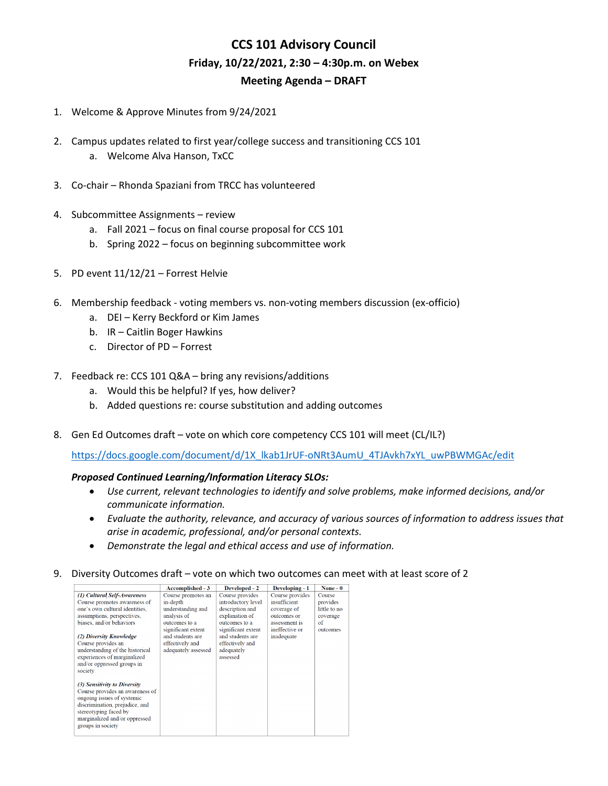## **CCS 101 Advisory Council Friday, 10/22/2021, 2:30 – 4:30p.m. on Webex Meeting Agenda – DRAFT**

- 1. Welcome & Approve Minutes from 9/24/2021
- 2. Campus updates related to first year/college success and transitioning CCS 101 a. Welcome Alva Hanson, TxCC
- 3. Co-chair Rhonda Spaziani from TRCC has volunteered
- 4. Subcommittee Assignments review
	- a. Fall 2021 focus on final course proposal for CCS 101
	- b. Spring 2022 focus on beginning subcommittee work
- 5. PD event 11/12/21 Forrest Helvie
- 6. Membership feedback voting members vs. non-voting members discussion (ex-officio)
	- a. DEI Kerry Beckford or Kim James
	- b. IR Caitlin Boger Hawkins
	- c. Director of PD Forrest
- 7. Feedback re: CCS 101 Q&A bring any revisions/additions
	- a. Would this be helpful? If yes, how deliver?
	- b. Added questions re: course substitution and adding outcomes
- 8. Gen Ed Outcomes draft vote on which core competency CCS 101 will meet (CL/IL?)

[https://docs.google.com/document/d/1X\\_lkab1JrUF-oNRt3AumU\\_4TJAvkh7xYL\\_uwPBWMGAc/edit](https://docs.google.com/document/d/1X_lkab1JrUF-oNRt3AumU_4TJAvkh7xYL_uwPBWMGAc/edit)

## *Proposed Continued Learning/Information Literacy SLOs:*

- *Use current, relevant technologies to identify and solve problems, make informed decisions, and/or communicate information.*
- *Evaluate the authority, relevance, and accuracy of various sources of information to address issues that arise in academic, professional, and/or personal contexts.*
- *Demonstrate the legal and ethical access and use of information.*
- 9. Diversity Outcomes draft vote on which two outcomes can meet with at least score of 2

|                                                                                                                                                                                                                | Accomplished - 3                                                                                          | Developed - 2                                                                                                     | Developing - 1                                                                                   | None $-0$                                                        |
|----------------------------------------------------------------------------------------------------------------------------------------------------------------------------------------------------------------|-----------------------------------------------------------------------------------------------------------|-------------------------------------------------------------------------------------------------------------------|--------------------------------------------------------------------------------------------------|------------------------------------------------------------------|
| (1) Cultural Self-Awareness<br>Course promotes awareness of<br>one's own cultural identities.<br>assumptions, perspectives,<br>biases, and/or behaviors                                                        | Course promotes an<br>in-depth<br>understanding and<br>analysis of<br>outcomes to a<br>significant extent | Course provides<br>introductory level<br>description and<br>explanation of<br>outcomes to a<br>significant extent | Course provides<br>insufficient<br>coverage of<br>outcomes or<br>assessment is<br>ineffective or | Course<br>provides<br>little to no<br>coverage<br>of<br>outcomes |
| (2) Diversity Knowledge<br>Course provides an<br>understanding of the historical<br>experiences of marginalized<br>and/or oppressed groups in<br>society                                                       | and students are<br>effectively and<br>adequately assessed                                                | and students are<br>effectively and<br>adequately<br>assessed                                                     | inadequate                                                                                       |                                                                  |
| (3) Sensitivity to Diversity<br>Course provides an awareness of<br>ongoing issues of systemic<br>discrimination, prejudice, and<br>stereotyping faced by<br>marginalized and/or oppressed<br>groups in society |                                                                                                           |                                                                                                                   |                                                                                                  |                                                                  |